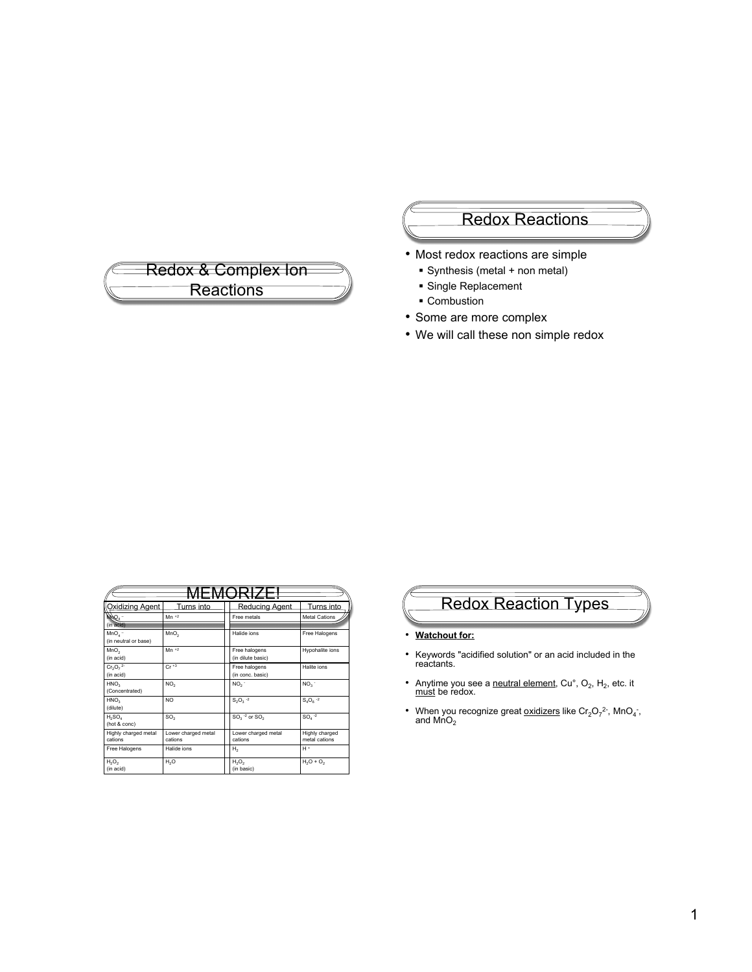

### Redox Reactions

- Most redox reactions are simple
	- Synthesis (metal + non metal)
	- **Single Replacement**
	- **Combustion**
- Some are more complex
- We will call these non simple redox

| Oxidizing Agent                    | Turns into                     | Reducing Agent                     | Turns into                      |  |
|------------------------------------|--------------------------------|------------------------------------|---------------------------------|--|
| NAQ4                               | $Mn + 2$                       | Free metals                        | Metal Cations                   |  |
| (in acid)                          |                                |                                    |                                 |  |
| $MnOa$ -<br>(in neutral or base)   | MnO <sub>2</sub>               | Halide ions                        | Free Halogens                   |  |
| MnO <sub>2</sub><br>(in acid)      | $Mn + 2$                       | Free halogens<br>(in dilute basic) | Hypohalite ions                 |  |
| $Cr_2O_7^2$<br>(in acid)           | $Cr + 3$                       | Free halogens<br>(in conc. basic)  | Halite ions                     |  |
| HNO <sub>3</sub><br>(Concentrated) | NO <sub>2</sub>                | NO <sub>2</sub>                    | NO <sub>3</sub>                 |  |
| HNO <sub>3</sub><br>(dilute)       | NO <sub>1</sub>                | $S_2O_3 - 2$                       | $S_4O_8^{-2}$                   |  |
| $H_2SO_4$<br>(hot & conc)          | SO <sub>2</sub>                | $SO3$ <sup>-2</sup> or $SO2$       | $SO4$ <sup>-2</sup>             |  |
| Highly charged metal<br>cations    | Lower charged metal<br>cations | Lower charged metal<br>cations     | Highly charged<br>metal cations |  |
| Free Halogens                      | Halide ions                    | Н,                                 | $H +$                           |  |
| $H_2O_2$<br>(in acid)              | H <sub>2</sub> O               | $H_2O_2$<br>(in basic)             | $H_2O + O_2$                    |  |

# Redox Reaction Types

- **Watchout for:**
- Keywords "acidified solution" or an acid included in the reactants.
- Anytime you see a neutral element, Cu $^{\circ}$ , O<sub>2</sub>, H<sub>2</sub>, etc. it must be redox.
- When you recognize great  $\underline{\text{oxidizers}}$  like  $\text{Cr}_2\text{O}_7^2$ <sup>2</sup>, MnO<sub>4</sub>, and MnO<sub>2</sub>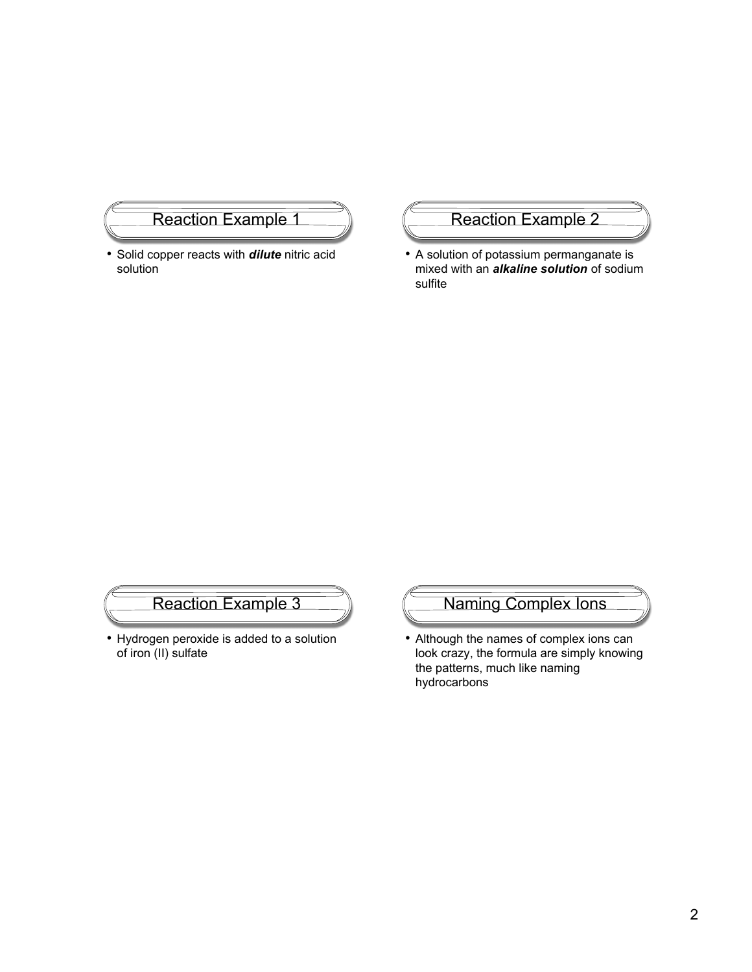### Reaction Example 1

• Solid copper reacts with *dilute* nitric acid solution

# Reaction Example 2

• A solution of potassium permanganate is mixed with an *alkaline solution* of sodium sulfite

# Reaction Example 3

• Hydrogen peroxide is added to a solution of iron (II) sulfate



• Although the names of complex ions can look crazy, the formula are simply knowing the patterns, much like naming hydrocarbons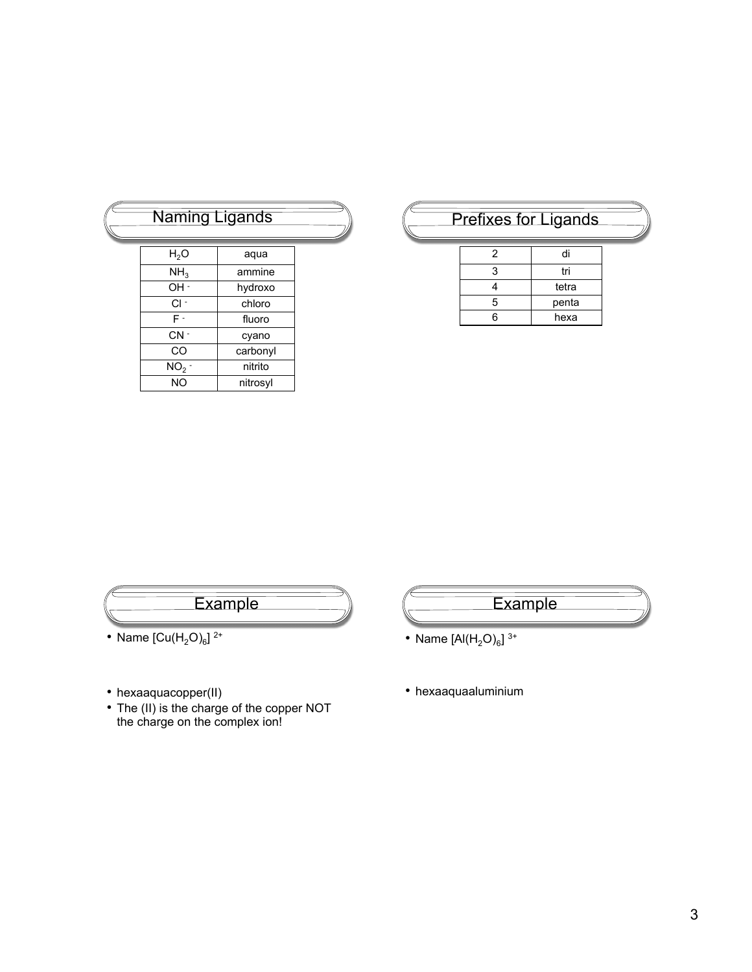| Naming Ligands  |          |  |
|-----------------|----------|--|
| $H_2O$          | aqua     |  |
| NH <sub>3</sub> | ammine   |  |
| OH -            | hydroxo  |  |
| $Cl -$          | chloro   |  |
| F-              | fluoro   |  |
| $CN -$          | cyano    |  |
| CO              | carbonyl |  |
| NO <sub>2</sub> | nitrito  |  |
| <b>NO</b>       | nitrosyl |  |

# Prefixes for Ligands

| 2  | di    |
|----|-------|
| 3  | tri   |
|    | tetra |
| 5  | penta |
| ุล | hexa  |



- 
- hexaaquacopper(II)
- The (II) is the charge of the copper NOT the charge on the complex ion!
- **Example**
- Name  $[A|(H_2O)_6]$ <sup>3+</sup>
- hexaaquaaluminium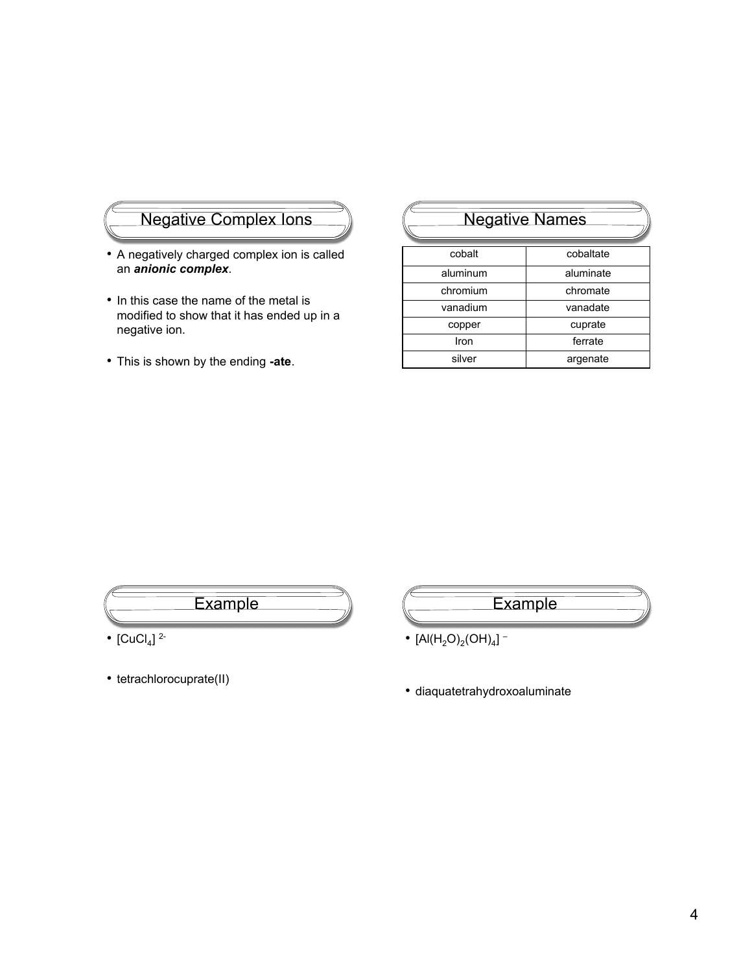### Negative Complex Ions

- A negatively charged complex ion is called an *anionic complex*.
- In this case the name of the metal is modified to show that it has ended up in a negative ion.
- This is shown by the ending **-ate**.

# Negative Names

| cobalt   | cobaltate |
|----------|-----------|
| aluminum | aluminate |
| chromium | chromate  |
| vanadium | vanadate  |
| copper   | cuprate   |
| Iron     | ferrate   |
| silver   | argenate  |



- [CuCl<sub>4</sub>]  $^{2}$ -
- tetrachlorocuprate(II)
- **Example**
- $[Al(H_2O)_2(OH)_4]$  –
- diaquatetrahydroxoaluminate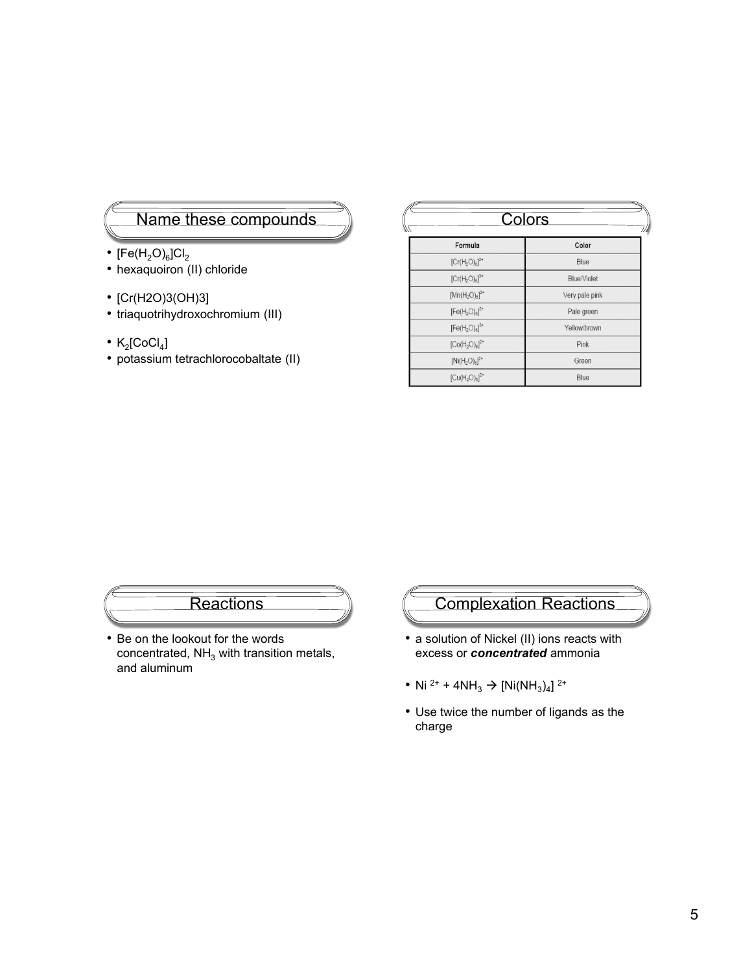#### Name these compounds

- $[Fe(H<sub>2</sub>O)<sub>6</sub>]Cl<sub>2</sub>$
- hexaquoiron (II) chloride
- [Cr(H2O)3(OH)3]
- triaquotrihydroxochromium (III)
- $K_2$ [CoCl<sub>4</sub>]
- potassium tetrachlorocobaltate (II)

| Colors                                                                 |                    |  |  |  |
|------------------------------------------------------------------------|--------------------|--|--|--|
| Formula                                                                | Color              |  |  |  |
| $[Cr(H2O)8]2+$                                                         | Blue               |  |  |  |
| $[Cr(H_2O)_6]^{3+}$                                                    | <b>Blue/Violet</b> |  |  |  |
| $[Mn(H_2O)_6]^{2+}$                                                    | Very pale pink     |  |  |  |
| $[Fe(H2O)6]2+$                                                         | Pale green         |  |  |  |
| $[Fe(H_2O)_6]^{3+}$                                                    | Yellow/brown       |  |  |  |
| $\left[\textrm{Co}(\textrm{H}_{2}\textrm{O})_{\textrm{e}}\right]^{2+}$ | Pink               |  |  |  |
| $[Ni(H_2O)_6]^{2+}$                                                    | Green              |  |  |  |
| $[Cu(H2O)6]2+$                                                         | Blue               |  |  |  |

### **Reactions**

• Be on the lookout for the words concentrated,  $NH<sub>3</sub>$  with transition metals, and aluminum

# Complexation Reactions

- a solution of Nickel (II) ions reacts with excess or *concentrated* ammonia
- Ni <sup>2+</sup> + 4NH<sub>3</sub>  $\rightarrow$  [Ni(NH<sub>3</sub>)<sub>4</sub>]<sup>2+</sup>
- Use twice the number of ligands as the charge